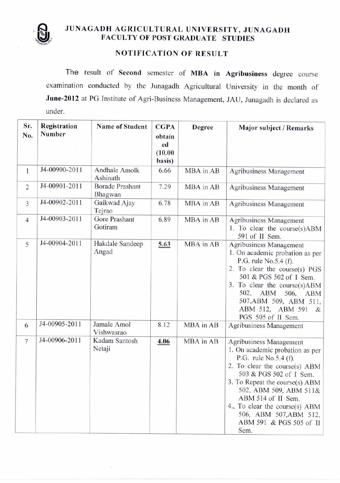

## JUNAGADH AGRICULTURAL UNIVERSITY, JUNAGADH FACULTY OF POST GRADUATE STUDIES

## NOTIFICATION OF RESULT

The result of Second semester of MBA in Agribusiness degree course examination conducted by the Junagadh Agricultural University in the month of **June-2012** at PG Institute of Agri-Business Management, JAU, Junagadh is declared as under.

| Sr.<br>No.     | Registration<br><b>Number</b> | <b>Name of Student</b>            | <b>CGPA</b><br>obtain<br>ed<br>(10.00)<br>basis) | <b>Degree</b> | Major subject / Remarks                                                                                                                                                                                                                                                                                                          |
|----------------|-------------------------------|-----------------------------------|--------------------------------------------------|---------------|----------------------------------------------------------------------------------------------------------------------------------------------------------------------------------------------------------------------------------------------------------------------------------------------------------------------------------|
| $\mathbf{1}$   | J4-00900-2011                 | Andhale Amolk<br>Ashinath         | 6.66                                             | MBA in AB     | <b>Agribusiness Management</b>                                                                                                                                                                                                                                                                                                   |
| $\overline{c}$ | J4-00901-2011                 | <b>Borade Prashant</b><br>Bhagwan | 7.29                                             | MBA in AB     | Agribusiness Management                                                                                                                                                                                                                                                                                                          |
| 3              | J4-00902-2011                 | Gaikwad Ajay<br>Tejrao            | 6.78                                             | MBA in AB     | Agribusiness Management                                                                                                                                                                                                                                                                                                          |
| $\overline{4}$ | J4-00903-2011                 | Gore Prashant<br>Gotiram          | 6.89                                             | MBA in AB     | Agribusiness Management<br>1. To clear the course(s)ABM<br>591 of II Sem.                                                                                                                                                                                                                                                        |
| 5              | J4-00904-2011                 | Hakdale Sandeep<br>Angad          | 5.63                                             | MBA in AB     | Agribusiness Management<br>1. On academic probation as per<br>P.G. rule No.5.4 (f).<br>2. To clear the course(s) PGS<br>501 & PGS 502 of I Sem.<br>3. To clear the course(s)ABM<br>502, ABM<br>506,<br>ABM<br>507, ABM 509, ABM 511,<br>ABM 512, ABM 591<br>&<br>PGS 505 of II Sem.                                              |
| 6              | J4-00905-2011                 | Jamale Amol<br>Vishwasrao         | 8.12                                             | MBA in AB     | <b>Agribusiness Management</b>                                                                                                                                                                                                                                                                                                   |
| 7              | J4-00906-2011                 | Kadam Santosh<br>Netaji           | 4.06                                             | MBA in AB     | Agribusiness Management<br>1. On academic probation as per<br>P.G. rule No.5.4 (f).<br>2. To clear the course(s) ABM<br>503 & PGS 502 of I Sem.<br>3. To Repeat the course(s) ABM<br>502, ABM 509, ABM 511&<br>ABM 514 of II Sem.<br>4., To clear the course(s) ABM<br>506, ABM 507, ABM 512,<br>ABM 591 & PGS 505 of II<br>Sem. |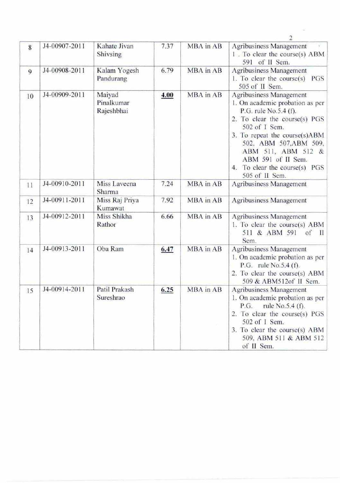|    |               |                                    |      |           | 2                                                                                                                                                                                                                                                                                               |
|----|---------------|------------------------------------|------|-----------|-------------------------------------------------------------------------------------------------------------------------------------------------------------------------------------------------------------------------------------------------------------------------------------------------|
| 8  | J4-00907-2011 | Kahate Jivan<br>Shivsing           | 7.37 | MBA in AB | <b>Agribusiness Management</b><br>1. To clear the course(s) ABM<br>591 of II Sem.                                                                                                                                                                                                               |
| 9  | J4-00908-2011 | Kalam Yogesh<br>Pandurang          | 6.79 | MBA in AB | <b>Agribusiness Management</b><br>1. To clear the course $(s)$<br>PGS<br>505 of II Sem.                                                                                                                                                                                                         |
| 10 | J4-00909-2011 | Maiyad<br>Pinalkumar<br>Rajeshbhai | 4.00 | MBA in AB | Agribusiness Management<br>1. On academic probation as per<br>P.G. rule No.5.4 (f).<br>2. To clear the course(s) PGS<br>502 of I Sem.<br>3. To repeat the course(s)ABM<br>502, ABM 507, ABM 509,<br>ABM 511, ABM 512 &<br>ABM 591 of II Sem.<br>4. To clear the course(s) PGS<br>505 of II Sem. |
| 11 | J4-00910-2011 | Miss Laveena<br>Sharma             | 7.24 | MBA in AB | Agribusiness Management                                                                                                                                                                                                                                                                         |
| 12 | J4-00911-2011 | Miss Raj Priya<br>Kumawat          | 7.92 | MBA in AB | Agribusiness Management                                                                                                                                                                                                                                                                         |
| 13 | J4-00912-2011 | Miss Shikha<br>Rathor              | 6.66 | MBA in AB | <b>Agribusiness Management</b><br>1. To clear the course(s) ABM<br>511 & ABM 591<br>of<br>$\mathbf{H}$<br>Sem.                                                                                                                                                                                  |
| 14 | J4-00913-2011 | Oba Ram                            | 6.47 | MBA in AB | Agribusiness Management<br>1. On academic probation as per<br>P.G. rule $No.5.4(f)$ .<br>2. To clear the course(s) ABM<br>509 & ABM512of II Sem.                                                                                                                                                |
| 15 | J4-00914-2011 | Patil Prakash<br>Sureshrao         | 6.25 | MBA in AB | Agribusiness Management<br>1. On academic probation as per<br>rule No.5.4 (f).<br>P.G.<br>2. To clear the course(s) PGS<br>502 of I Sem.<br>3. To clear the course(s) ABM<br>509, ABM 511 & ABM 512<br>of II Sem.                                                                               |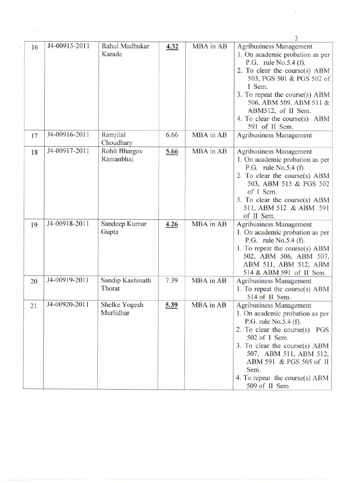| 16 | J4-00915-2011 | Rahul Madhukar<br>Karade   | 4.32 | MBA in AB | <b>Agribusiness Management</b><br>1. On academic probation as per<br>P.G. rule $No.5.4(f)$ .<br>2. To clear the course(s) ABM<br>503, PGS 501 & PGS 502 of<br>I Sem.<br>3. To repeat the course(s) ABM<br>506, ABM 509, ABM 511 &<br>ABM512, of II Sem.<br>4. To clear the course(s) ABM<br>591 of II Sem. |
|----|---------------|----------------------------|------|-----------|------------------------------------------------------------------------------------------------------------------------------------------------------------------------------------------------------------------------------------------------------------------------------------------------------------|
| 17 | J4-00916-2011 | Ramjilal<br>Choudhary      | 6.66 | MBA in AB | Agribusiness Management                                                                                                                                                                                                                                                                                    |
| 18 | J4-00917-2011 | Rohit Bhargav<br>Ramanbhai | 5.66 | MBA in AB | Agribusiness Management<br>1. On academic probation as per<br>P.G. rule No.5.4 (f).<br>2. To clear the course(s) ABM<br>503, ABM 515 & PGS 502<br>of I Sem.<br>3. To clear the course(s) ABM<br>511, ABM 512 & ABM 591<br>of II Sem.                                                                       |
| 19 | J4-00918-2011 | Sandeep Kumar<br>Gupta     | 4.26 | MBA in AB | <b>Agribusiness Management</b><br>1. On academic probation as per<br>P.G. rule $No.5.4(f)$ .<br>1. To repeat the course(s) ABM<br>502, ABM 506, ABM 507,<br>ABM 511, ABM 512, ABM<br>514 & ABM 591 of II Sem.                                                                                              |
| 20 | J4-00919-2011 | Sandip Kashinath<br>Thorat | 7.39 | MBA in AB | Agribusiness Management<br>1. To repeat the course(s) ABM<br>514 of II Sem.                                                                                                                                                                                                                                |
| 21 | J4-00920-2011 | Shelke Yogesh<br>Murlidhar | 5.39 | MBA in AB | Agribusiness Management<br>1. On academic probation as per<br>P.G. rule No.5.4 (f).<br>2. To clear the course $(s)$<br>PGS<br>502 of I Sem.<br>3. To clear the course(s) ABM<br>507, ABM 511, ABM 512,<br>ABM 591 & PGS 505 of II<br>Sem.<br>4. To repeat the course(s) $ABM$<br>$509 \text{ of } H$ Sem   |

 $\vec{v}$ 

 $\overline{\mathbf{3}}$ 

 $\alpha$